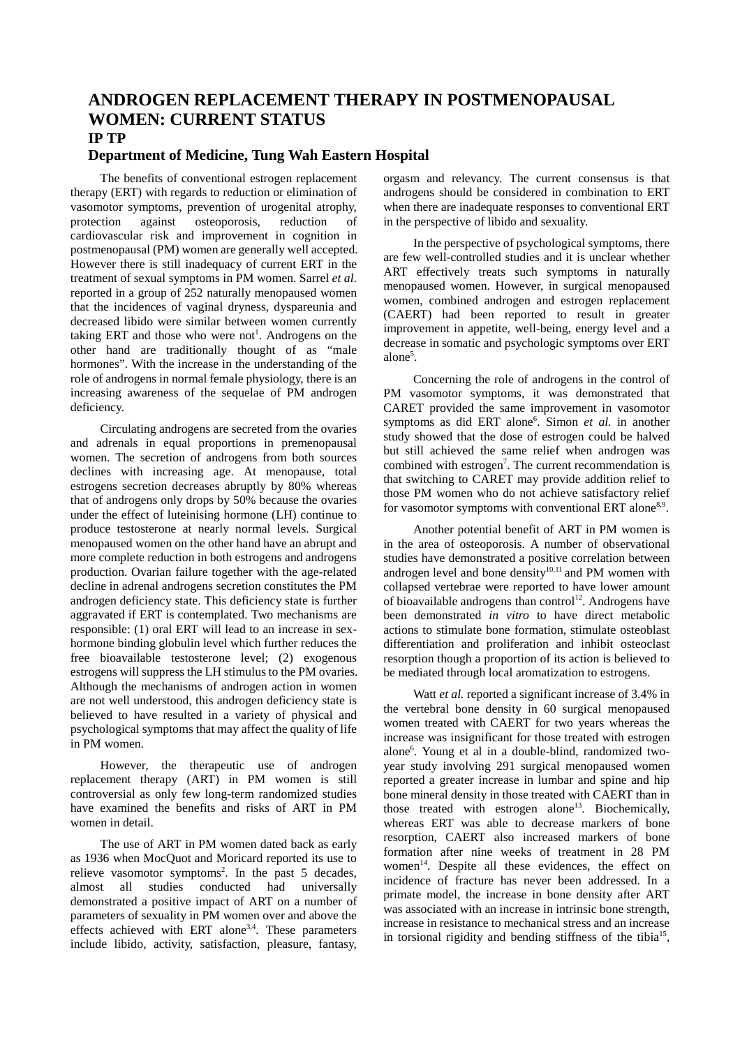## **ANDROGEN REPLACEMENT THERAPY IN POSTMENOPAUSAL WOMEN: CURRENT STATUS IP TP**

## **Department of Medicine, Tung Wah Eastern Hospital**

The benefits of conventional estrogen replacement therapy (ERT) with regards to reduction or elimination of vasomotor symptoms, prevention of urogenital atrophy, protection against osteoporosis, reduction of cardiovascular risk and improvement in cognition in postmenopausal (PM) women are generally well accepted. However there is still inadequacy of current ERT in the treatment of sexual symptoms in PM women. Sarrel *et al*. reported in a group of 252 naturally menopaused women that the incidences of vaginal dryness, dyspareunia and decreased libido were similar between women currently taking ERT and those who were not<sup>1</sup>. Androgens on the other hand are traditionally thought of as "male hormones". With the increase in the understanding of the role of androgens in normal female physiology, there is an increasing awareness of the sequelae of PM androgen deficiency.

Circulating androgens are secreted from the ovaries and adrenals in equal proportions in premenopausal women. The secretion of androgens from both sources declines with increasing age. At menopause, total estrogens secretion decreases abruptly by 80% whereas that of androgens only drops by 50% because the ovaries under the effect of luteinising hormone (LH) continue to produce testosterone at nearly normal levels. Surgical menopaused women on the other hand have an abrupt and more complete reduction in both estrogens and androgens production. Ovarian failure together with the age-related decline in adrenal androgens secretion constitutes the PM androgen deficiency state. This deficiency state is further aggravated if ERT is contemplated. Two mechanisms are responsible: (1) oral ERT will lead to an increase in sexhormone binding globulin level which further reduces the free bioavailable testosterone level; (2) exogenous estrogens will suppress the LH stimulus to the PM ovaries. Although the mechanisms of androgen action in women are not well understood, this androgen deficiency state is believed to have resulted in a variety of physical and psychological symptoms that may affect the quality of life in PM women.

However, the therapeutic use of androgen replacement therapy (ART) in PM women is still controversial as only few long-term randomized studies have examined the benefits and risks of ART in PM women in detail.

The use of ART in PM women dated back as early as 1936 when MocQuot and Moricard reported its use to relieve vasomotor symptoms<sup>2</sup>. In the past 5 decades, almost all studies conducted had universally demonstrated a positive impact of ART on a number of parameters of sexuality in PM women over and above the effects achieved with ERT alone<sup>3,4</sup>. These parameters include libido, activity, satisfaction, pleasure, fantasy,

orgasm and relevancy. The current consensus is that androgens should be considered in combination to ERT when there are inadequate responses to conventional ERT in the perspective of libido and sexuality.

In the perspective of psychological symptoms, there are few well-controlled studies and it is unclear whether ART effectively treats such symptoms in naturally menopaused women. However, in surgical menopaused women, combined androgen and estrogen replacement (CAERT) had been reported to result in greater improvement in appetite, well-being, energy level and a decrease in somatic and psychologic symptoms over ERT alone<sup>5</sup>.

Concerning the role of androgens in the control of PM vasomotor symptoms, it was demonstrated that CARET provided the same improvement in vasomotor symptoms as did ERT alone<sup>6</sup>. Simon *et al.* in another study showed that the dose of estrogen could be halved but still achieved the same relief when androgen was combined with estrogen<sup>7</sup>. The current recommendation is that switching to CARET may provide addition relief to those PM women who do not achieve satisfactory relief for vasomotor symptoms with conventional ERT alone<sup>8,9</sup>.

Another potential benefit of ART in PM women is in the area of osteoporosis. A number of observational studies have demonstrated a positive correlation between androgen level and bone density $10,11$  and PM women with collapsed vertebrae were reported to have lower amount of bioavailable androgens than control<sup>12</sup>. Androgens have been demonstrated *in vitro* to have direct metabolic actions to stimulate bone formation, stimulate osteoblast differentiation and proliferation and inhibit osteoclast resorption though a proportion of its action is believed to be mediated through local aromatization to estrogens.

Watt *et al.* reported a significant increase of 3.4% in the vertebral bone density in 60 surgical menopaused women treated with CAERT for two years whereas the increase was insignificant for those treated with estrogen alone6 . Young et al in a double-blind, randomized twoyear study involving 291 surgical menopaused women reported a greater increase in lumbar and spine and hip bone mineral density in those treated with CAERT than in those treated with estrogen alone<sup>13</sup>. Biochemically, whereas ERT was able to decrease markers of bone resorption, CAERT also increased markers of bone formation after nine weeks of treatment in 28 PM women<sup>14</sup>. Despite all these evidences, the effect on incidence of fracture has never been addressed. In a primate model, the increase in bone density after ART was associated with an increase in intrinsic bone strength, increase in resistance to mechanical stress and an increase in torsional rigidity and bending stiffness of the tibia<sup>15</sup>,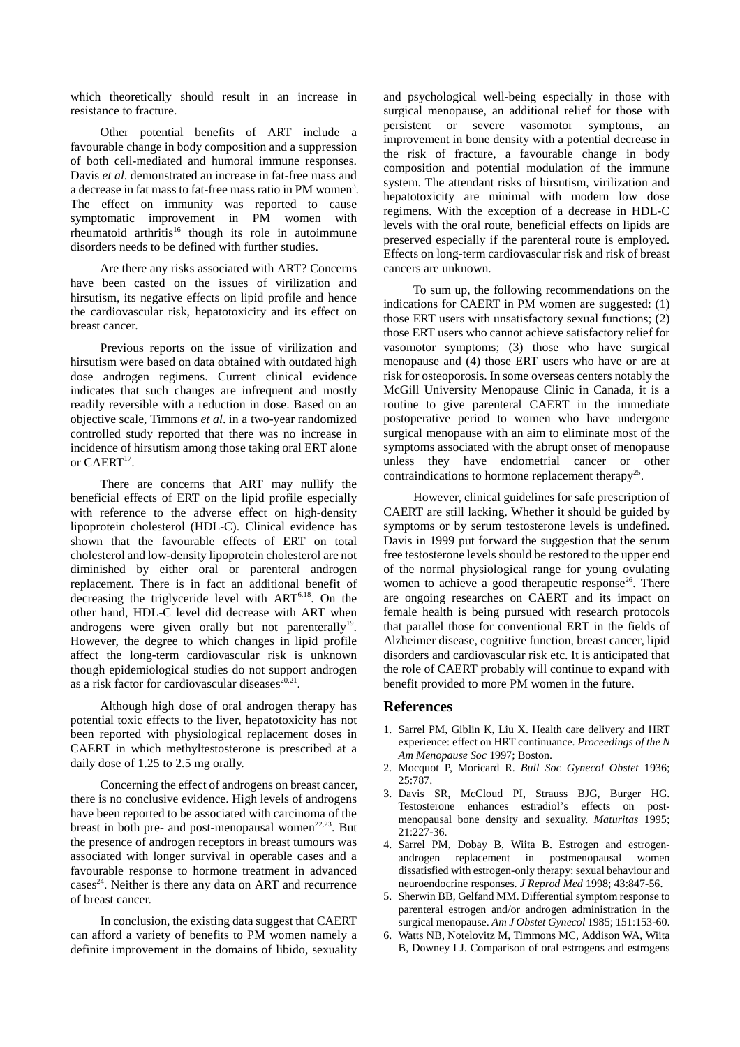which theoretically should result in an increase in resistance to fracture.

Other potential benefits of ART include a favourable change in body composition and a suppression of both cell-mediated and humoral immune responses. Davis *et al*. demonstrated an increase in fat-free mass and a decrease in fat mass to fat-free mass ratio in PM women<sup>3</sup>. The effect on immunity was reported to cause symptomatic improvement in PM women with rheumatoid arthritis<sup>16</sup> though its role in autoimmune disorders needs to be defined with further studies.

Are there any risks associated with ART? Concerns have been casted on the issues of virilization and hirsutism, its negative effects on lipid profile and hence the cardiovascular risk, hepatotoxicity and its effect on breast cancer.

Previous reports on the issue of virilization and hirsutism were based on data obtained with outdated high dose androgen regimens. Current clinical evidence indicates that such changes are infrequent and mostly readily reversible with a reduction in dose. Based on an objective scale, Timmons *et al*. in a two-year randomized controlled study reported that there was no increase in incidence of hirsutism among those taking oral ERT alone or  $CAERT<sup>17</sup>$ .

There are concerns that ART may nullify the beneficial effects of ERT on the lipid profile especially with reference to the adverse effect on high-density lipoprotein cholesterol (HDL-C). Clinical evidence has shown that the favourable effects of ERT on total cholesterol and low-density lipoprotein cholesterol are not diminished by either oral or parenteral androgen replacement. There is in fact an additional benefit of decreasing the triglyceride level with ART<sup>6,18</sup>. On the other hand, HDL-C level did decrease with ART when androgens were given orally but not parenterally<sup>19</sup>. However, the degree to which changes in lipid profile affect the long-term cardiovascular risk is unknown though epidemiological studies do not support androgen as a risk factor for cardiovascular diseases $^{20,21}$ .

Although high dose of oral androgen therapy has potential toxic effects to the liver, hepatotoxicity has not been reported with physiological replacement doses in CAERT in which methyltestosterone is prescribed at a daily dose of 1.25 to 2.5 mg orally.

Concerning the effect of androgens on breast cancer, there is no conclusive evidence. High levels of androgens have been reported to be associated with carcinoma of the breast in both pre- and post-menopausal women<sup>22,23</sup>. But the presence of androgen receptors in breast tumours was associated with longer survival in operable cases and a favourable response to hormone treatment in advanced cases<sup>24</sup>. Neither is there any data on ART and recurrence of breast cancer.

In conclusion, the existing data suggest that CAERT can afford a variety of benefits to PM women namely a definite improvement in the domains of libido, sexuality

and psychological well-being especially in those with surgical menopause, an additional relief for those with persistent or severe vasomotor symptoms, an improvement in bone density with a potential decrease in the risk of fracture, a favourable change in body composition and potential modulation of the immune system. The attendant risks of hirsutism, virilization and hepatotoxicity are minimal with modern low dose regimens. With the exception of a decrease in HDL-C levels with the oral route, beneficial effects on lipids are preserved especially if the parenteral route is employed. Effects on long-term cardiovascular risk and risk of breast cancers are unknown.

To sum up, the following recommendations on the indications for CAERT in PM women are suggested: (1) those ERT users with unsatisfactory sexual functions; (2) those ERT users who cannot achieve satisfactory relief for vasomotor symptoms; (3) those who have surgical menopause and (4) those ERT users who have or are at risk for osteoporosis. In some overseas centers notably the McGill University Menopause Clinic in Canada, it is a routine to give parenteral CAERT in the immediate postoperative period to women who have undergone surgical menopause with an aim to eliminate most of the symptoms associated with the abrupt onset of menopause unless they have endometrial cancer or other contraindications to hormone replacement therapy<sup>25</sup>.

However, clinical guidelines for safe prescription of CAERT are still lacking. Whether it should be guided by symptoms or by serum testosterone levels is undefined. Davis in 1999 put forward the suggestion that the serum free testosterone levels should be restored to the upper end of the normal physiological range for young ovulating women to achieve a good therapeutic response<sup>26</sup>. There are ongoing researches on CAERT and its impact on female health is being pursued with research protocols that parallel those for conventional ERT in the fields of Alzheimer disease, cognitive function, breast cancer, lipid disorders and cardiovascular risk etc. It is anticipated that the role of CAERT probably will continue to expand with benefit provided to more PM women in the future.

## **References**

- 1. Sarrel PM, Giblin K, Liu X. Health care delivery and HRT experience: effect on HRT continuance. *Proceedings of the N Am Menopause Soc* 1997; Boston.
- 2. Mocquot P, Moricard R. *Bull Soc Gynecol Obstet* 1936; 25:787.
- 3. Davis SR, McCloud PI, Strauss BJG, Burger HG. Testosterone enhances estradiol's effects on postmenopausal bone density and sexuality. *Maturitas* 1995; 21:227-36.
- 4. Sarrel PM, Dobay B, Wiita B. Estrogen and estrogenandrogen replacement in postmenopausal women dissatisfied with estrogen-only therapy: sexual behaviour and neuroendocrine responses. *J Reprod Med* 1998; 43:847-56.
- 5. Sherwin BB, Gelfand MM. Differential symptom response to parenteral estrogen and/or androgen administration in the surgical menopause. *Am J Obstet Gynecol* 1985; 151:153-60.
- 6. Watts NB, Notelovitz M, Timmons MC, Addison WA, Wiita B, Downey LJ. Comparison of oral estrogens and estrogens